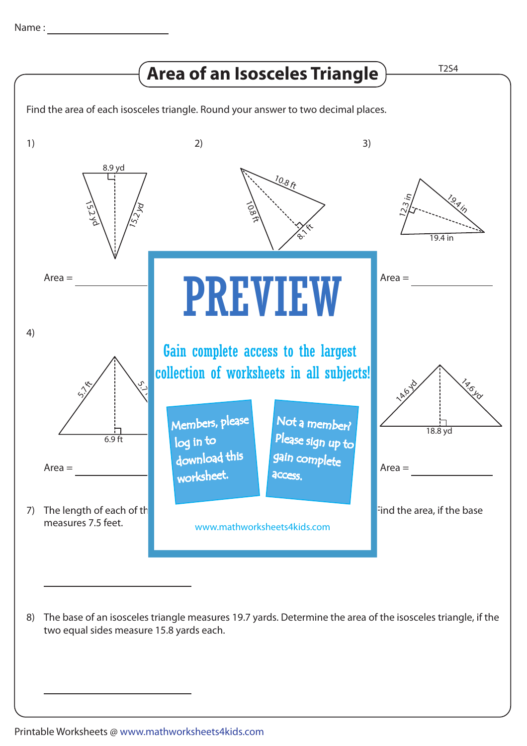

two equal sides measure 15.8 yards each.